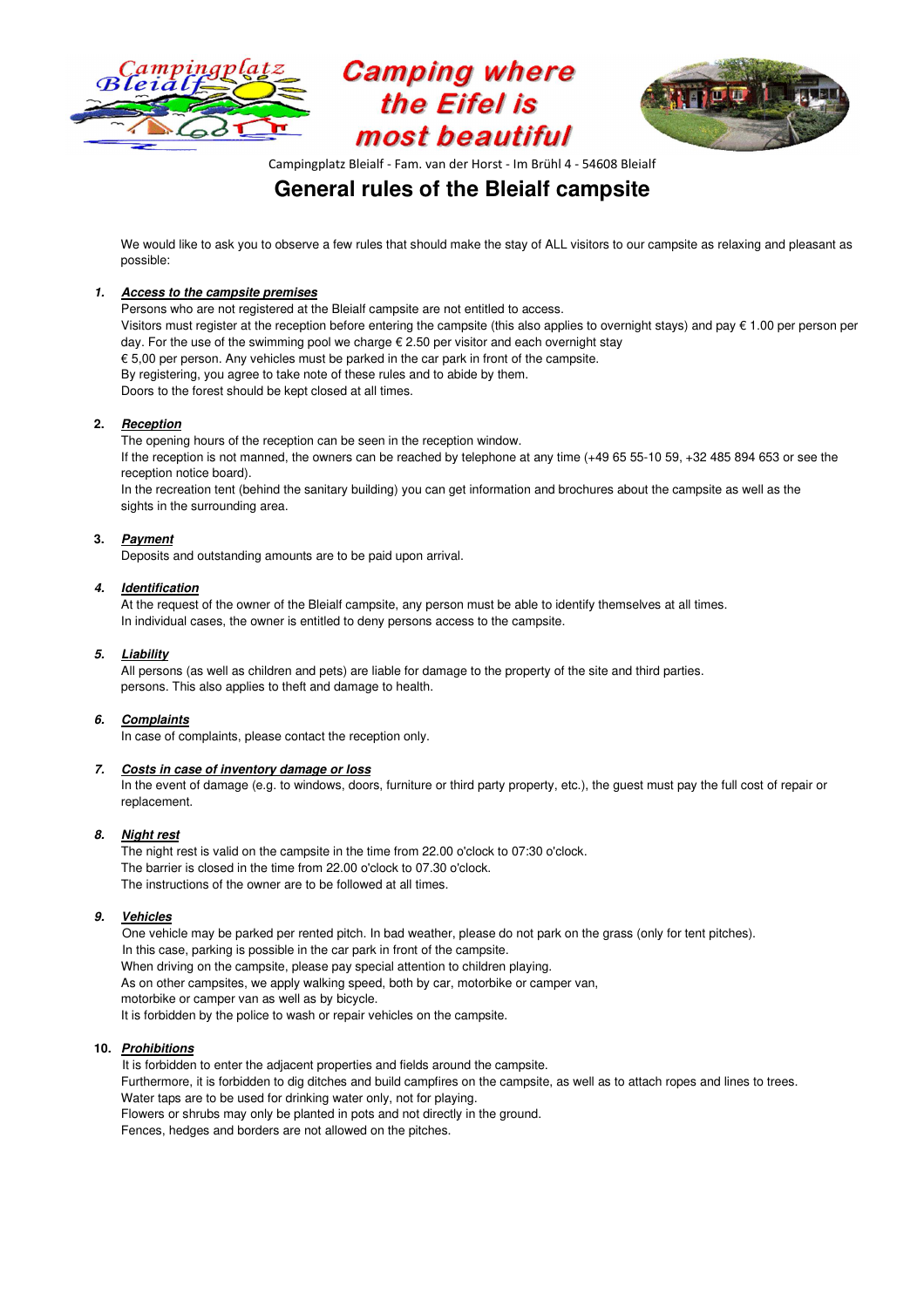





Campingplatz Bleialf - Fam. van der Horst - Im Brühl 4 - 54608 Bleialf

# **General rules of the Bleialf campsite**

We would like to ask you to observe a few rules that should make the stay of ALL visitors to our campsite as relaxing and pleasant as possible:

# **1. Access to the campsite premises**

 Persons who are not registered at the Bleialf campsite are not entitled to access. Visitors must register at the reception before entering the campsite (this also applies to overnight stays) and pay  $\epsilon$  1.00 per person per day. For the use of the swimming pool we charge € 2.50 per visitor and each overnight stay  $\epsilon$  5,00 per person. Any vehicles must be parked in the car park in front of the campsite. By registering, you agree to take note of these rules and to abide by them. Doors to the forest should be kept closed at all times.

# **2. Reception**

The opening hours of the reception can be seen in the reception window.

If the reception is not manned, the owners can be reached by telephone at any time (+49 65 55-10 59, +32 485 894 653 or see the reception notice board).

In the recreation tent (behind the sanitary building) you can get information and brochures about the campsite as well as the sights in the surrounding area.

# **3. Payment**

Deposits and outstanding amounts are to be paid upon arrival.

# **4. Identification**

 At the request of the owner of the Bleialf campsite, any person must be able to identify themselves at all times. In individual cases, the owner is entitled to deny persons access to the campsite.

# **5. Liability**

 All persons (as well as children and pets) are liable for damage to the property of the site and third parties. persons. This also applies to theft and damage to health.

# **6. Complaints**

In case of complaints, please contact the reception only.

### **7. Costs in case of inventory damage or loss**

In the event of damage (e.g. to windows, doors, furniture or third party property, etc.), the guest must pay the full cost of repair or replacement.

### **8. Night rest**

 The night rest is valid on the campsite in the time from 22.00 o'clock to 07:30 o'clock. The barrier is closed in the time from 22.00 o'clock to 07.30 o'clock. The instructions of the owner are to be followed at all times.

# **9. Vehicles**

One vehicle may be parked per rented pitch. In bad weather, please do not park on the grass (only for tent pitches). In this case, parking is possible in the car park in front of the campsite. When driving on the campsite, please pay special attention to children playing. As on other campsites, we apply walking speed, both by car, motorbike or camper van, motorbike or camper van as well as by bicycle. It is forbidden by the police to wash or repair vehicles on the campsite.

### **10. Prohibitions**

It is forbidden to enter the adjacent properties and fields around the campsite. Furthermore, it is forbidden to dig ditches and build campfires on the campsite, as well as to attach ropes and lines to trees. Water taps are to be used for drinking water only, not for playing. Flowers or shrubs may only be planted in pots and not directly in the ground. Fences, hedges and borders are not allowed on the pitches.